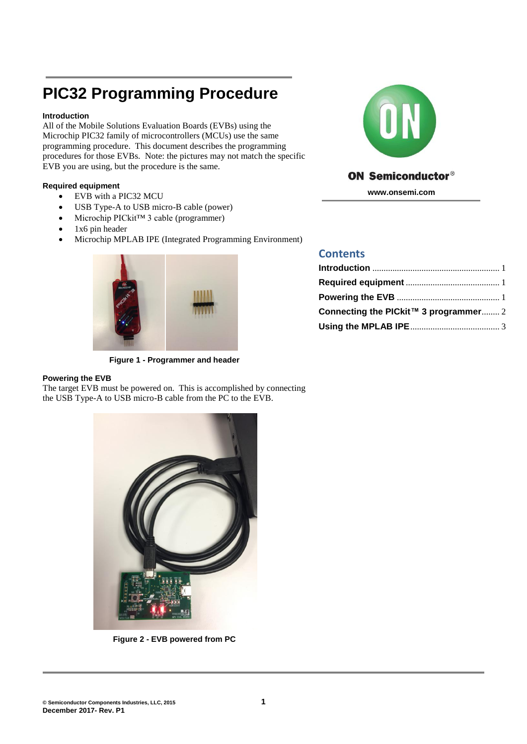# **PIC32 Programming Procedure**

## <span id="page-0-0"></span>**Introduction**

All of the Mobile Solutions Evaluation Boards (EVBs) using the Microchip PIC32 family of microcontrollers (MCUs) use the same programming procedure. This document describes the programming procedures for those EVBs. Note: the pictures may not match the specific EVB you are using, but the procedure is the same.

### <span id="page-0-1"></span>**Required equipment**

- EVB with a PIC32 MCU
- USB Type-A to USB micro-B cable (power)
- Microchip PICkit™ 3 cable (programmer)
- 1x6 pin header
- Microchip MPLAB IPE (Integrated Programming Environment)



**Figure 1 - Programmer and header**

## <span id="page-0-2"></span>**Powering the EVB**

The target EVB must be powered on. This is accomplished by connecting the USB Type-A to USB micro-B cable from the PC to the EVB.



## **ON Semiconductor®**

**www.onsemi.com**

## **Contents**

| Connecting the PICkit™ 3 programmer 2 |  |
|---------------------------------------|--|
|                                       |  |



**Figure 2 - EVB powered from PC**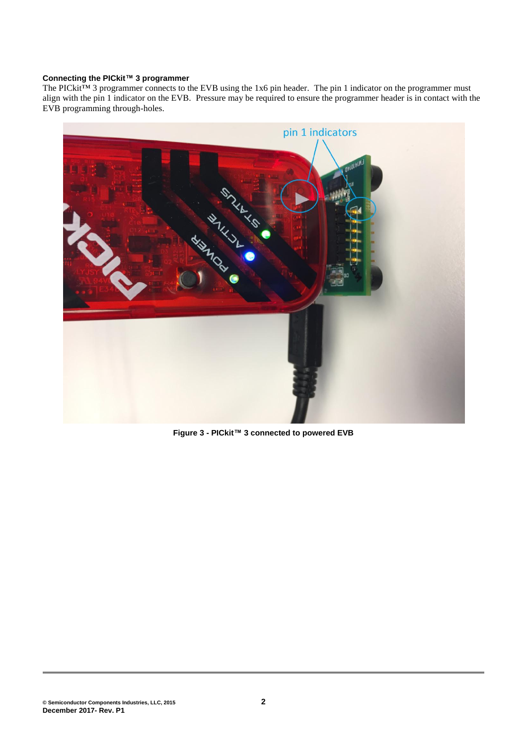#### <span id="page-1-0"></span>**Connecting the PICkit™ 3 programmer**

The PICkit™ 3 programmer connects to the EVB using the 1x6 pin header. The pin 1 indicator on the programmer must align with the pin 1 indicator on the EVB. Pressure may be required to ensure the programmer header is in contact with the EVB programming through-holes.



**Figure 3 - PICkit™ 3 connected to powered EVB**